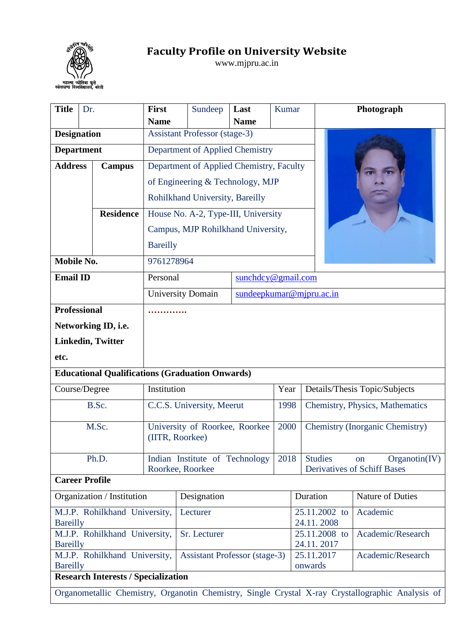

## **Faculty Profile on University Website**

www.mjpru.ac.in

| <b>Title</b>                                     | Dr. |                                            | <b>First</b>              | Sundeep                                                | Last               | Kumar |                       |                                       | Photograph                                                                                       |  |  |
|--------------------------------------------------|-----|--------------------------------------------|---------------------------|--------------------------------------------------------|--------------------|-------|-----------------------|---------------------------------------|--------------------------------------------------------------------------------------------------|--|--|
|                                                  |     |                                            | <b>Name</b>               |                                                        | <b>Name</b>        |       |                       |                                       |                                                                                                  |  |  |
| <b>Designation</b>                               |     |                                            |                           | <b>Assistant Professor (stage-3)</b>                   |                    |       |                       |                                       |                                                                                                  |  |  |
| <b>Department</b>                                |     |                                            |                           | Department of Applied Chemistry                        |                    |       |                       |                                       |                                                                                                  |  |  |
| <b>Address</b>                                   |     | <b>Campus</b>                              |                           | Department of Applied Chemistry, Faculty               |                    |       |                       |                                       |                                                                                                  |  |  |
|                                                  |     |                                            |                           | of Engineering & Technology, MJP                       |                    |       |                       |                                       |                                                                                                  |  |  |
|                                                  |     |                                            |                           | Rohilkhand University, Bareilly                        |                    |       |                       |                                       |                                                                                                  |  |  |
|                                                  |     | <b>Residence</b>                           |                           | House No. A-2, Type-III, University                    |                    |       |                       |                                       |                                                                                                  |  |  |
|                                                  |     |                                            |                           | Campus, MJP Rohilkhand University,                     |                    |       |                       |                                       |                                                                                                  |  |  |
|                                                  |     |                                            | <b>Bareilly</b>           |                                                        |                    |       |                       |                                       |                                                                                                  |  |  |
| Mobile No.                                       |     |                                            | 9761278964                |                                                        |                    |       |                       |                                       |                                                                                                  |  |  |
| <b>Email ID</b>                                  |     |                                            | Personal                  |                                                        | sunchdcy@gmail.com |       |                       |                                       |                                                                                                  |  |  |
|                                                  |     |                                            |                           | <b>University Domain</b>                               |                    |       |                       | sundeepkumar@mjpru.ac.in              |                                                                                                  |  |  |
| <b>Professional</b>                              |     |                                            |                           |                                                        |                    |       |                       |                                       |                                                                                                  |  |  |
|                                                  |     | Networking ID, i.e.                        |                           |                                                        |                    |       |                       |                                       |                                                                                                  |  |  |
|                                                  |     | <b>Linkedin, Twitter</b>                   |                           |                                                        |                    |       |                       |                                       |                                                                                                  |  |  |
| etc.                                             |     |                                            |                           |                                                        |                    |       |                       |                                       |                                                                                                  |  |  |
|                                                  |     |                                            |                           | <b>Educational Qualifications (Graduation Onwards)</b> |                    |       |                       |                                       |                                                                                                  |  |  |
| Course/Degree                                    |     |                                            | Institution               |                                                        |                    |       |                       | Details/Thesis Topic/Subjects<br>Year |                                                                                                  |  |  |
|                                                  |     | B.Sc.                                      | C.C.S. University, Meerut |                                                        |                    |       | 1998                  | Chemistry, Physics, Mathematics       |                                                                                                  |  |  |
|                                                  |     | M.Sc.                                      |                           | University of Roorkee, Roorkee<br>(IITR, Roorkee)      |                    |       |                       |                                       | <b>Chemistry (Inorganic Chemistry)</b>                                                           |  |  |
|                                                  |     | Ph.D.                                      |                           | Indian Institute of Technology<br>Roorkee, Roorkee     |                    | 2018  |                       | <b>Studies</b>                        | Organotin(IV)<br><sub>on</sub><br><b>Derivatives of Schiff Bases</b>                             |  |  |
| <b>Career Profile</b>                            |     |                                            |                           |                                                        |                    |       |                       |                                       |                                                                                                  |  |  |
| Organization / Institution                       |     |                                            |                           | Designation                                            |                    |       |                       | Duration                              | <b>Nature of Duties</b>                                                                          |  |  |
| M.J.P. Rohilkhand University,<br><b>Bareilly</b> |     |                                            |                           | Lecturer                                               |                    |       |                       | 25.11.2002 to<br>24.11.2008           | Academic                                                                                         |  |  |
| M.J.P. Rohilkhand University,<br><b>Bareilly</b> |     |                                            |                           | Sr. Lecturer                                           |                    |       |                       | 25.11.2008 to<br>24.11.2017           | Academic/Research                                                                                |  |  |
| M.J.P. Rohilkhand University,<br><b>Bareilly</b> |     |                                            |                           | <b>Assistant Professor (stage-3)</b>                   |                    |       | 25.11.2017<br>onwards | Academic/Research                     |                                                                                                  |  |  |
|                                                  |     | <b>Research Interests / Specialization</b> |                           |                                                        |                    |       |                       |                                       |                                                                                                  |  |  |
|                                                  |     |                                            |                           |                                                        |                    |       |                       |                                       | Organometallic Chemistry, Organotin Chemistry, Single Crystal X-ray Crystallographic Analysis of |  |  |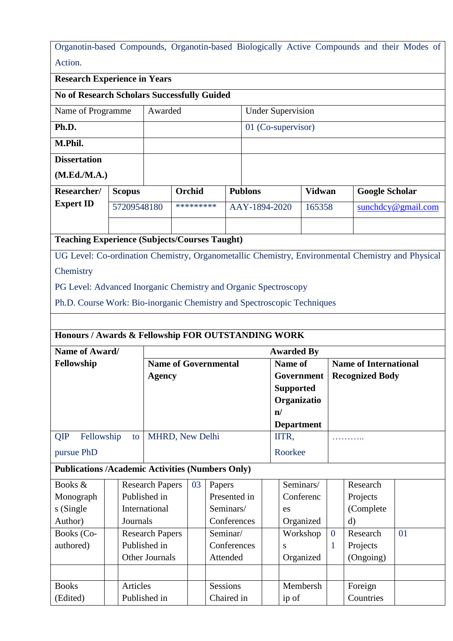|         | Organotin-based Compounds, Organotin-based Biologically Active Compounds and their Modes of |  |  |  |  |
|---------|---------------------------------------------------------------------------------------------|--|--|--|--|
| Action. |                                                                                             |  |  |  |  |

**Research Experience in Years**

**No of Research Scholars Successfully Guided** 

| Name of Programme   | Awarded | <b>Under Supervision</b> |
|---------------------|---------|--------------------------|
| Ph.D.               |         | 01 (Co-supervisor)       |
| M.Phil.             |         |                          |
| <b>Dissertation</b> |         |                          |
| (M.Ed./M.A.)        |         |                          |

| Researcher/      | <b>Scopus</b><br>57209548180 |  | Orchid<br>********* |  | <b>Publons</b> | <b>Vidwan</b> | <b>Google Scholar</b> |  |  |
|------------------|------------------------------|--|---------------------|--|----------------|---------------|-----------------------|--|--|
| <b>Expert ID</b> |                              |  |                     |  | AAY-1894-2020  | 165358        | sunchdcy@gmail.com    |  |  |
|                  |                              |  |                     |  |                |               |                       |  |  |

**Teaching Experience (Subjects/Courses Taught)**

UG Level: Co-ordination Chemistry, Organometallic Chemistry, Environmental Chemistry and Physical

**Chemistry** 

PG Level: Advanced Inorganic Chemistry and Organic Spectroscopy

Ph.D. Course Work: Bio-inorganic Chemistry and Spectroscopic Techniques

## **Honours / Awards & Fellowship FOR OUTSTANDING WORK**

| Name of Award/<br>Fellowship |            |    | <b>Awarded By</b>           |                   |                              |  |  |  |  |  |  |
|------------------------------|------------|----|-----------------------------|-------------------|------------------------------|--|--|--|--|--|--|
|                              |            |    | <b>Name of Governmental</b> | Name of           | <b>Name of International</b> |  |  |  |  |  |  |
|                              |            |    | Agency                      | Government        | <b>Recognized Body</b>       |  |  |  |  |  |  |
|                              |            |    |                             | <b>Supported</b>  |                              |  |  |  |  |  |  |
|                              |            |    |                             | Organizatio       |                              |  |  |  |  |  |  |
|                              |            |    |                             | $\mathbf{n}$      |                              |  |  |  |  |  |  |
|                              |            |    |                             | <b>Department</b> |                              |  |  |  |  |  |  |
| QIP                          | Fellowship | to | <b>MHRD, New Delhi</b>      | IITR,             | .                            |  |  |  |  |  |  |
| pursue PhD                   |            |    |                             | Roorkee           |                              |  |  |  |  |  |  |

## **Publications /Academic Activities (Numbers Only)**

| Books &      | <b>Research Papers</b> | 03 | Papers          | Seminars/ |                | Research   |    |
|--------------|------------------------|----|-----------------|-----------|----------------|------------|----|
| Monograph    | Published in           |    | Presented in    | Conferenc |                | Projects   |    |
| s (Single    | International          |    | Seminars/       | es        |                | (Complete) |    |
| Author)      | Journals               |    | Conferences     | Organized |                | d)         |    |
| Books (Co-   | <b>Research Papers</b> |    | Seminar/        | Workshop  | $\overline{0}$ | Research   | 01 |
| authored)    | Published in           |    | Conferences     | S         |                | Projects   |    |
|              | Other Journals         |    | Attended        | Organized |                | (Ongoing)  |    |
|              |                        |    |                 |           |                |            |    |
| <b>Books</b> | Articles               |    | <b>Sessions</b> | Membersh  |                | Foreign    |    |
| (Edited)     | Published in           |    | Chaired in      | ip of     |                | Countries  |    |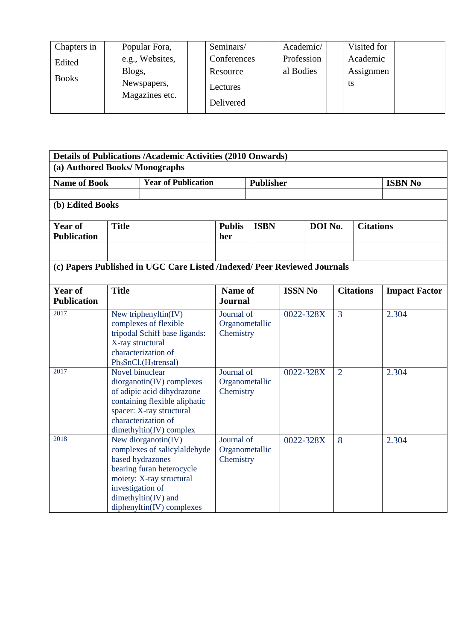| Chapters in  | Popular Fora,                 | Seminars/   | Academic/  | Visited for |  |
|--------------|-------------------------------|-------------|------------|-------------|--|
| Edited       | e.g., Websites,               | Conferences | Profession | Academic    |  |
|              | Blogs,                        | Resource    | al Bodies  | Assignmen   |  |
| <b>Books</b> | Newspapers,<br>Magazines etc. | Lectures    |            | ts          |  |
|              |                               | Delivered   |            |             |  |

|                                      |                                                                                                                                                                                                               | <b>Details of Publications /Academic Activities (2010 Onwards)</b>                                                                                                          |                                           |             |                |         |                |                  |                      |  |
|--------------------------------------|---------------------------------------------------------------------------------------------------------------------------------------------------------------------------------------------------------------|-----------------------------------------------------------------------------------------------------------------------------------------------------------------------------|-------------------------------------------|-------------|----------------|---------|----------------|------------------|----------------------|--|
| (a) Authored Books/Monographs        |                                                                                                                                                                                                               |                                                                                                                                                                             |                                           |             |                |         |                |                  |                      |  |
| <b>Name of Book</b>                  |                                                                                                                                                                                                               | <b>Year of Publication</b><br><b>Publisher</b>                                                                                                                              |                                           |             |                |         | <b>ISBN No</b> |                  |                      |  |
| (b) Edited Books                     |                                                                                                                                                                                                               |                                                                                                                                                                             |                                           |             |                |         |                |                  |                      |  |
| <b>Year of</b><br><b>Publication</b> | <b>Title</b>                                                                                                                                                                                                  |                                                                                                                                                                             | <b>Publis</b><br>her                      | <b>ISBN</b> |                | DOI No. |                | <b>Citations</b> |                      |  |
|                                      |                                                                                                                                                                                                               | (c) Papers Published in UGC Care Listed /Indexed/ Peer Reviewed Journals                                                                                                    |                                           |             |                |         |                |                  |                      |  |
| <b>Year of</b><br><b>Publication</b> | <b>Title</b>                                                                                                                                                                                                  |                                                                                                                                                                             | Name of<br><b>Journal</b>                 |             | <b>ISSN No</b> |         |                | <b>Citations</b> | <b>Impact Factor</b> |  |
| 2017                                 | X-ray structural                                                                                                                                                                                              | New triphenyltin( $\overline{IV}$ )<br>complexes of flexible<br>tripodal Schiff base ligands:<br>characterization of<br>Ph <sub>3</sub> SnCl.(H <sub>3</sub> trensal)       | Journal of<br>Organometallic<br>Chemistry |             | 0022-328X      |         | 3              |                  | 2.304                |  |
| 2017                                 | Novel binuclear                                                                                                                                                                                               | $diorganotin(IV)$ complexes<br>of adipic acid dihydrazone<br>containing flexible aliphatic<br>spacer: X-ray structural<br>characterization of<br>$d$ imethyltin(IV) complex | Journal of<br>Organometallic<br>Chemistry |             | 0022-328X      |         | $\overline{2}$ |                  | 2.304                |  |
| 2018                                 | New diorganotin $(IV)$<br>complexes of salicylaldehyde<br>based hydrazones<br>bearing furan heterocycle<br>moiety: X-ray structural<br>investigation of<br>dimethyltin(IV) and<br>$diphenyltin(IV)$ complexes |                                                                                                                                                                             | Journal of<br>Organometallic<br>Chemistry |             | 0022-328X      |         | 8              |                  | 2.304                |  |